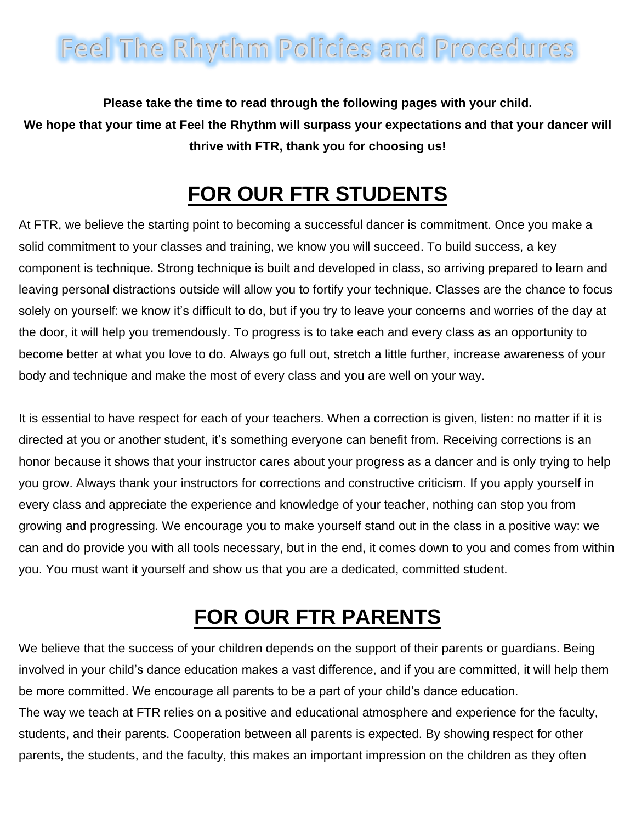# **Feel The Rhythm Policies and Procedures**

**Please take the time to read through the following pages with your child. We hope that your time at Feel the Rhythm will surpass your expectations and that your dancer will thrive with FTR, thank you for choosing us!**

### **FOR OUR FTR STUDENTS**

At FTR, we believe the starting point to becoming a successful dancer is commitment. Once you make a solid commitment to your classes and training, we know you will succeed. To build success, a key component is technique. Strong technique is built and developed in class, so arriving prepared to learn and leaving personal distractions outside will allow you to fortify your technique. Classes are the chance to focus solely on yourself: we know it's difficult to do, but if you try to leave your concerns and worries of the day at the door, it will help you tremendously. To progress is to take each and every class as an opportunity to become better at what you love to do. Always go full out, stretch a little further, increase awareness of your body and technique and make the most of every class and you are well on your way.

It is essential to have respect for each of your teachers. When a correction is given, listen: no matter if it is directed at you or another student, it's something everyone can benefit from. Receiving corrections is an honor because it shows that your instructor cares about your progress as a dancer and is only trying to help you grow. Always thank your instructors for corrections and constructive criticism. If you apply yourself in every class and appreciate the experience and knowledge of your teacher, nothing can stop you from growing and progressing. We encourage you to make yourself stand out in the class in a positive way: we can and do provide you with all tools necessary, but in the end, it comes down to you and comes from within you. You must want it yourself and show us that you are a dedicated, committed student.

## **FOR OUR FTR PARENTS**

We believe that the success of your children depends on the support of their parents or guardians. Being involved in your child's dance education makes a vast difference, and if you are committed, it will help them be more committed. We encourage all parents to be a part of your child's dance education. The way we teach at FTR relies on a positive and educational atmosphere and experience for the faculty, students, and their parents. Cooperation between all parents is expected. By showing respect for other parents, the students, and the faculty, this makes an important impression on the children as they often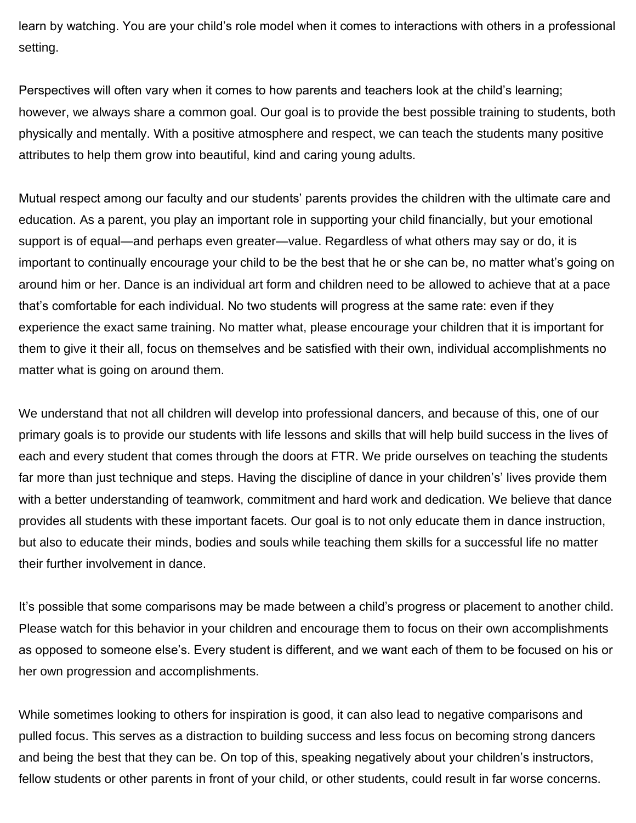learn by watching. You are your child's role model when it comes to interactions with others in a professional setting.

Perspectives will often vary when it comes to how parents and teachers look at the child's learning; however, we always share a common goal. Our goal is to provide the best possible training to students, both physically and mentally. With a positive atmosphere and respect, we can teach the students many positive attributes to help them grow into beautiful, kind and caring young adults.

Mutual respect among our faculty and our students' parents provides the children with the ultimate care and education. As a parent, you play an important role in supporting your child financially, but your emotional support is of equal—and perhaps even greater—value. Regardless of what others may say or do, it is important to continually encourage your child to be the best that he or she can be, no matter what's going on around him or her. Dance is an individual art form and children need to be allowed to achieve that at a pace that's comfortable for each individual. No two students will progress at the same rate: even if they experience the exact same training. No matter what, please encourage your children that it is important for them to give it their all, focus on themselves and be satisfied with their own, individual accomplishments no matter what is going on around them.

We understand that not all children will develop into professional dancers, and because of this, one of our primary goals is to provide our students with life lessons and skills that will help build success in the lives of each and every student that comes through the doors at FTR. We pride ourselves on teaching the students far more than just technique and steps. Having the discipline of dance in your children's' lives provide them with a better understanding of teamwork, commitment and hard work and dedication. We believe that dance provides all students with these important facets. Our goal is to not only educate them in dance instruction, but also to educate their minds, bodies and souls while teaching them skills for a successful life no matter their further involvement in dance.

It's possible that some comparisons may be made between a child's progress or placement to another child. Please watch for this behavior in your children and encourage them to focus on their own accomplishments as opposed to someone else's. Every student is different, and we want each of them to be focused on his or her own progression and accomplishments.

While sometimes looking to others for inspiration is good, it can also lead to negative comparisons and pulled focus. This serves as a distraction to building success and less focus on becoming strong dancers and being the best that they can be. On top of this, speaking negatively about your children's instructors, fellow students or other parents in front of your child, or other students, could result in far worse concerns.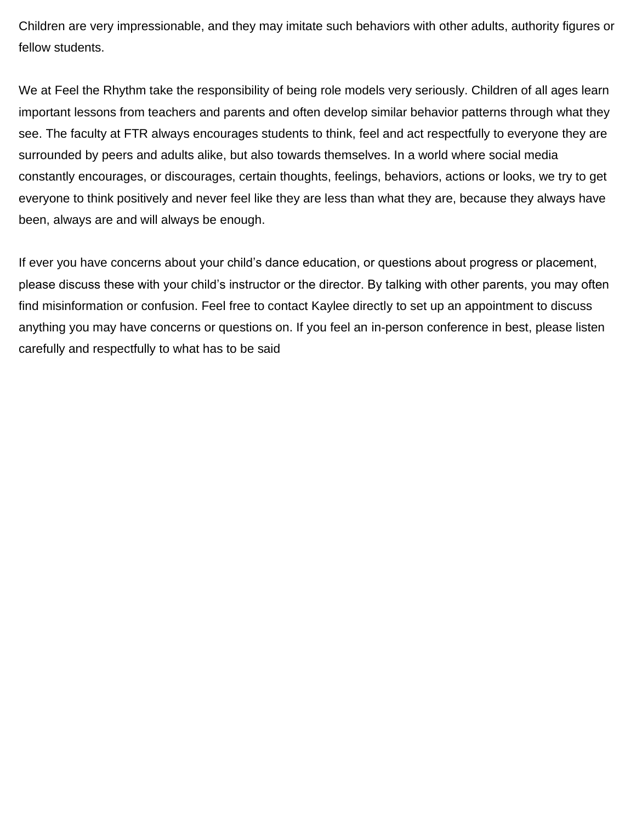Children are very impressionable, and they may imitate such behaviors with other adults, authority figures or fellow students.

We at Feel the Rhythm take the responsibility of being role models very seriously. Children of all ages learn important lessons from teachers and parents and often develop similar behavior patterns through what they see. The faculty at FTR always encourages students to think, feel and act respectfully to everyone they are surrounded by peers and adults alike, but also towards themselves. In a world where social media constantly encourages, or discourages, certain thoughts, feelings, behaviors, actions or looks, we try to get everyone to think positively and never feel like they are less than what they are, because they always have been, always are and will always be enough.

If ever you have concerns about your child's dance education, or questions about progress or placement, please discuss these with your child's instructor or the director. By talking with other parents, you may often find misinformation or confusion. Feel free to contact Kaylee directly to set up an appointment to discuss anything you may have concerns or questions on. If you feel an in-person conference in best, please listen carefully and respectfully to what has to be said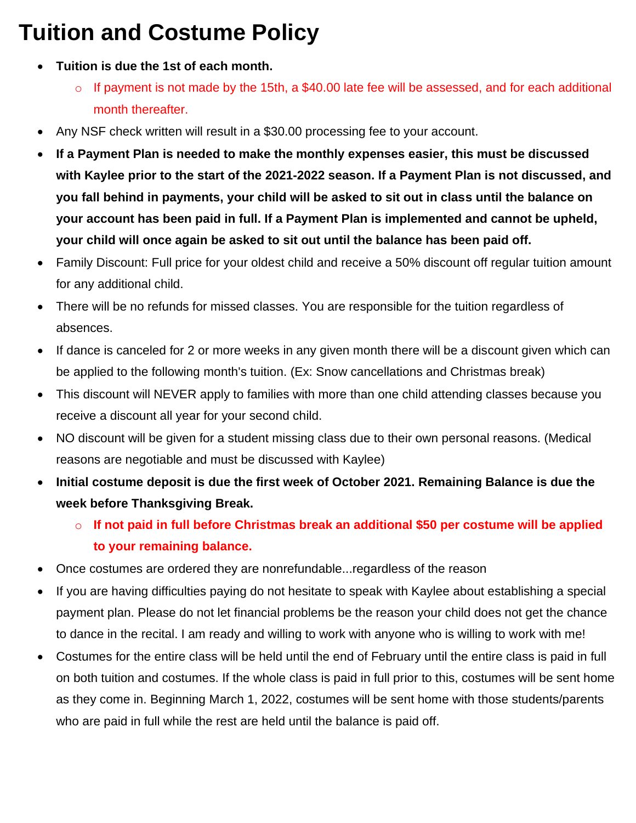## **Tuition and Costume Policy**

- **Tuition is due the 1st of each month.**
	- o If payment is not made by the 15th, a \$40.00 late fee will be assessed, and for each additional month thereafter.
- Any NSF check written will result in a \$30.00 processing fee to your account.
- **If a Payment Plan is needed to make the monthly expenses easier, this must be discussed with Kaylee prior to the start of the 2021-2022 season. If a Payment Plan is not discussed, and you fall behind in payments, your child will be asked to sit out in class until the balance on your account has been paid in full. If a Payment Plan is implemented and cannot be upheld, your child will once again be asked to sit out until the balance has been paid off.**
- Family Discount: Full price for your oldest child and receive a 50% discount off regular tuition amount for any additional child.
- There will be no refunds for missed classes. You are responsible for the tuition regardless of absences.
- If dance is canceled for 2 or more weeks in any given month there will be a discount given which can be applied to the following month's tuition. (Ex: Snow cancellations and Christmas break)
- This discount will NEVER apply to families with more than one child attending classes because you receive a discount all year for your second child.
- NO discount will be given for a student missing class due to their own personal reasons. (Medical reasons are negotiable and must be discussed with Kaylee)
- **Initial costume deposit is due the first week of October 2021. Remaining Balance is due the week before Thanksgiving Break.**
	- o **If not paid in full before Christmas break an additional \$50 per costume will be applied to your remaining balance.**
- Once costumes are ordered they are nonrefundable...regardless of the reason
- If you are having difficulties paying do not hesitate to speak with Kaylee about establishing a special payment plan. Please do not let financial problems be the reason your child does not get the chance to dance in the recital. I am ready and willing to work with anyone who is willing to work with me!
- Costumes for the entire class will be held until the end of February until the entire class is paid in full on both tuition and costumes. If the whole class is paid in full prior to this, costumes will be sent home as they come in. Beginning March 1, 2022, costumes will be sent home with those students/parents who are paid in full while the rest are held until the balance is paid off.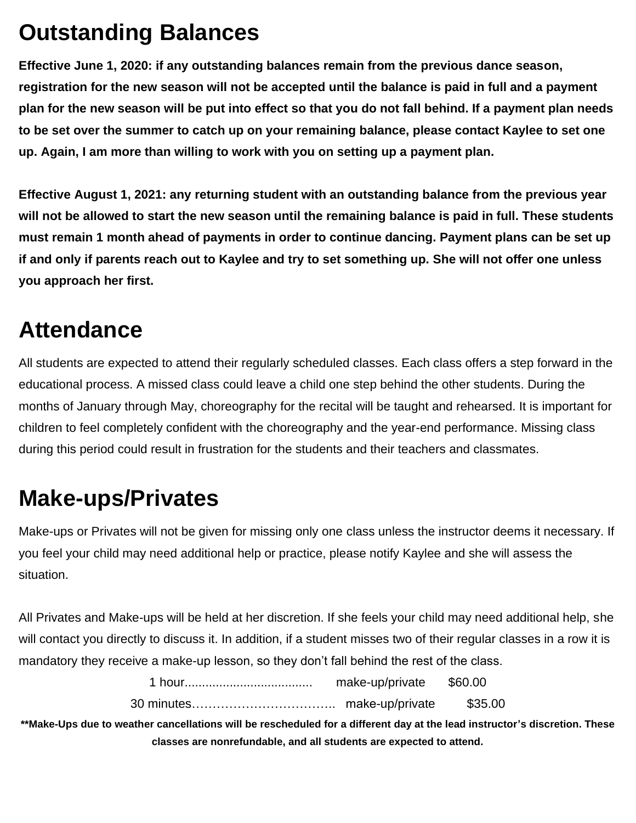## **Outstanding Balances**

**Effective June 1, 2020: if any outstanding balances remain from the previous dance season, registration for the new season will not be accepted until the balance is paid in full and a payment plan for the new season will be put into effect so that you do not fall behind. If a payment plan needs to be set over the summer to catch up on your remaining balance, please contact Kaylee to set one up. Again, I am more than willing to work with you on setting up a payment plan.** 

**Effective August 1, 2021: any returning student with an outstanding balance from the previous year will not be allowed to start the new season until the remaining balance is paid in full. These students must remain 1 month ahead of payments in order to continue dancing. Payment plans can be set up if and only if parents reach out to Kaylee and try to set something up. She will not offer one unless you approach her first.**

### **Attendance**

All students are expected to attend their regularly scheduled classes. Each class offers a step forward in the educational process. A missed class could leave a child one step behind the other students. During the months of January through May, choreography for the recital will be taught and rehearsed. It is important for children to feel completely confident with the choreography and the year-end performance. Missing class during this period could result in frustration for the students and their teachers and classmates.

## **Make-ups/Privates**

Make-ups or Privates will not be given for missing only one class unless the instructor deems it necessary. If you feel your child may need additional help or practice, please notify Kaylee and she will assess the situation.

All Privates and Make-ups will be held at her discretion. If she feels your child may need additional help, she will contact you directly to discuss it. In addition, if a student misses two of their regular classes in a row it is mandatory they receive a make-up lesson, so they don't fall behind the rest of the class.

| make-up/private | \$60.00 |
|-----------------|---------|
|                 | \$35.00 |

**\*\*Make-Ups due to weather cancellations will be rescheduled for a different day at the lead instructor's discretion. These classes are nonrefundable, and all students are expected to attend.**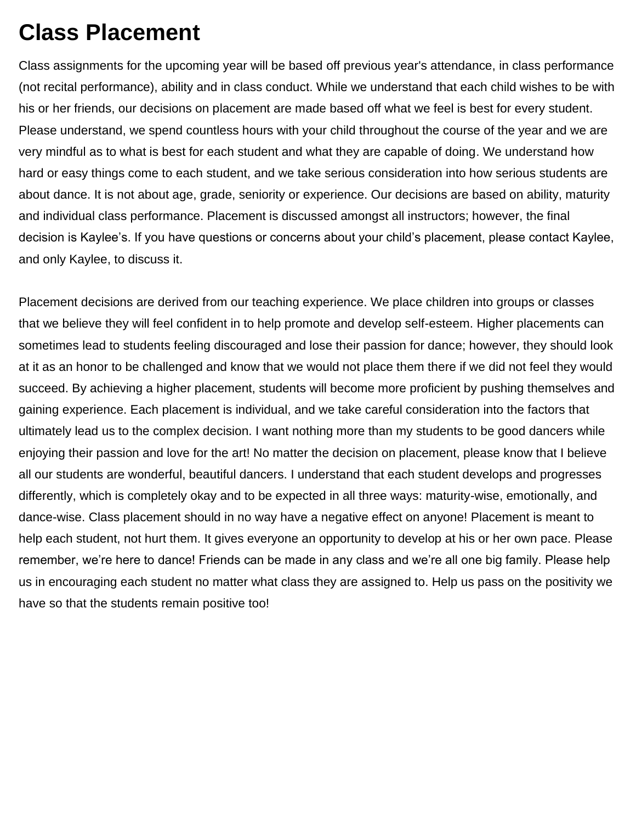## **Class Placement**

Class assignments for the upcoming year will be based off previous year's attendance, in class performance (not recital performance), ability and in class conduct. While we understand that each child wishes to be with his or her friends, our decisions on placement are made based off what we feel is best for every student. Please understand, we spend countless hours with your child throughout the course of the year and we are very mindful as to what is best for each student and what they are capable of doing. We understand how hard or easy things come to each student, and we take serious consideration into how serious students are about dance. It is not about age, grade, seniority or experience. Our decisions are based on ability, maturity and individual class performance. Placement is discussed amongst all instructors; however, the final decision is Kaylee's. If you have questions or concerns about your child's placement, please contact Kaylee, and only Kaylee, to discuss it.

Placement decisions are derived from our teaching experience. We place children into groups or classes that we believe they will feel confident in to help promote and develop self-esteem. Higher placements can sometimes lead to students feeling discouraged and lose their passion for dance; however, they should look at it as an honor to be challenged and know that we would not place them there if we did not feel they would succeed. By achieving a higher placement, students will become more proficient by pushing themselves and gaining experience. Each placement is individual, and we take careful consideration into the factors that ultimately lead us to the complex decision. I want nothing more than my students to be good dancers while enjoying their passion and love for the art! No matter the decision on placement, please know that I believe all our students are wonderful, beautiful dancers. I understand that each student develops and progresses differently, which is completely okay and to be expected in all three ways: maturity-wise, emotionally, and dance-wise. Class placement should in no way have a negative effect on anyone! Placement is meant to help each student, not hurt them. It gives everyone an opportunity to develop at his or her own pace. Please remember, we're here to dance! Friends can be made in any class and we're all one big family. Please help us in encouraging each student no matter what class they are assigned to. Help us pass on the positivity we have so that the students remain positive too!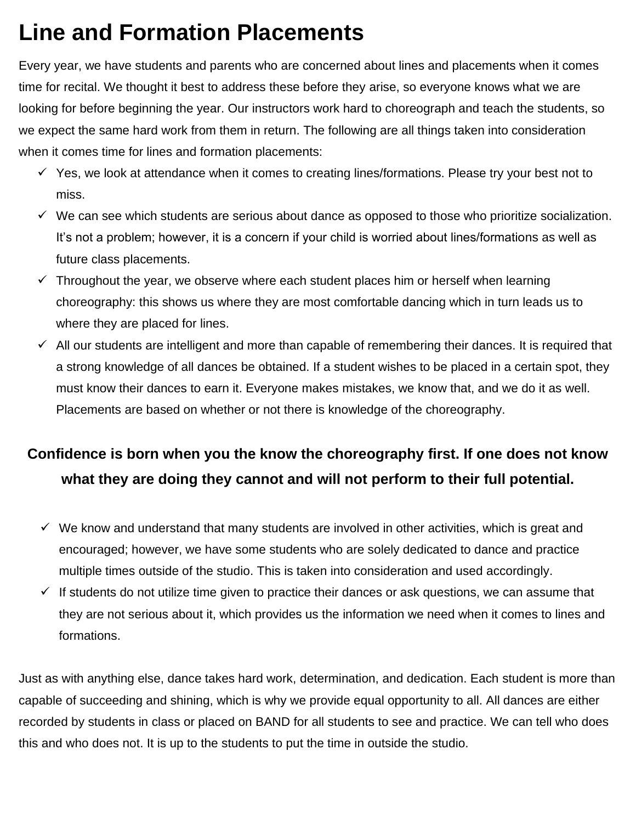## **Line and Formation Placements**

Every year, we have students and parents who are concerned about lines and placements when it comes time for recital. We thought it best to address these before they arise, so everyone knows what we are looking for before beginning the year. Our instructors work hard to choreograph and teach the students, so we expect the same hard work from them in return. The following are all things taken into consideration when it comes time for lines and formation placements:

- $\checkmark$  Yes, we look at attendance when it comes to creating lines/formations. Please try your best not to miss.
- $\checkmark$  We can see which students are serious about dance as opposed to those who prioritize socialization. It's not a problem; however, it is a concern if your child is worried about lines/formations as well as future class placements.
- $\checkmark$  Throughout the year, we observe where each student places him or herself when learning choreography: this shows us where they are most comfortable dancing which in turn leads us to where they are placed for lines.
- $\checkmark$  All our students are intelligent and more than capable of remembering their dances. It is required that a strong knowledge of all dances be obtained. If a student wishes to be placed in a certain spot, they must know their dances to earn it. Everyone makes mistakes, we know that, and we do it as well. Placements are based on whether or not there is knowledge of the choreography.

#### **Confidence is born when you the know the choreography first. If one does not know what they are doing they cannot and will not perform to their full potential.**

- $\checkmark$  We know and understand that many students are involved in other activities, which is great and encouraged; however, we have some students who are solely dedicated to dance and practice multiple times outside of the studio. This is taken into consideration and used accordingly.
- If students do not utilize time given to practice their dances or ask questions, we can assume that they are not serious about it, which provides us the information we need when it comes to lines and formations.

Just as with anything else, dance takes hard work, determination, and dedication. Each student is more than capable of succeeding and shining, which is why we provide equal opportunity to all. All dances are either recorded by students in class or placed on BAND for all students to see and practice. We can tell who does this and who does not. It is up to the students to put the time in outside the studio.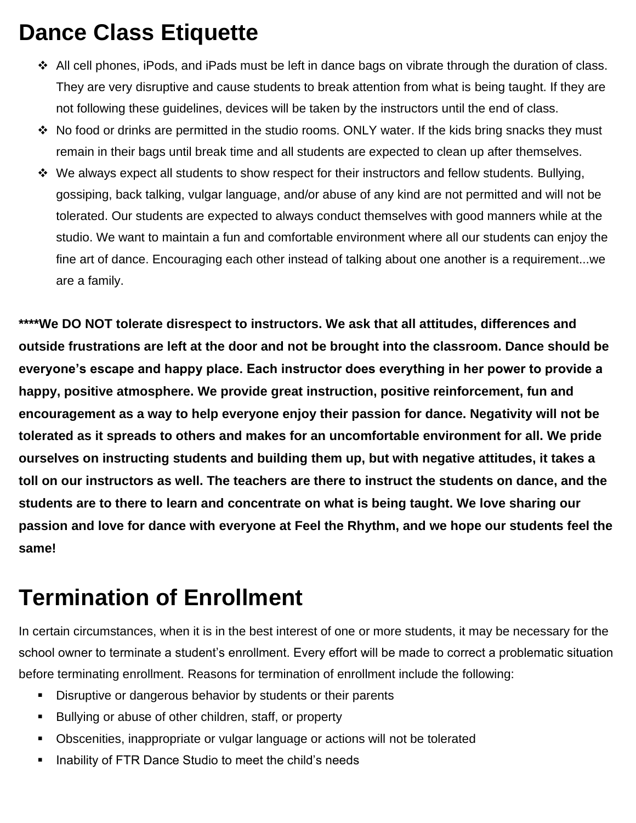## **Dance Class Etiquette**

- $\div$  All cell phones, iPods, and iPads must be left in dance bags on vibrate through the duration of class. They are very disruptive and cause students to break attention from what is being taught. If they are not following these guidelines, devices will be taken by the instructors until the end of class.
- $\div$  No food or drinks are permitted in the studio rooms. ONLY water. If the kids bring snacks they must remain in their bags until break time and all students are expected to clean up after themselves.
- $\div$  We always expect all students to show respect for their instructors and fellow students. Bullying, gossiping, back talking, vulgar language, and/or abuse of any kind are not permitted and will not be tolerated. Our students are expected to always conduct themselves with good manners while at the studio. We want to maintain a fun and comfortable environment where all our students can enjoy the fine art of dance. Encouraging each other instead of talking about one another is a requirement...we are a family.

**\*\*\*\*We DO NOT tolerate disrespect to instructors. We ask that all attitudes, differences and outside frustrations are left at the door and not be brought into the classroom. Dance should be everyone's escape and happy place. Each instructor does everything in her power to provide a happy, positive atmosphere. We provide great instruction, positive reinforcement, fun and encouragement as a way to help everyone enjoy their passion for dance. Negativity will not be tolerated as it spreads to others and makes for an uncomfortable environment for all. We pride ourselves on instructing students and building them up, but with negative attitudes, it takes a toll on our instructors as well. The teachers are there to instruct the students on dance, and the students are to there to learn and concentrate on what is being taught. We love sharing our passion and love for dance with everyone at Feel the Rhythm, and we hope our students feel the same!** 

### **Termination of Enrollment**

In certain circumstances, when it is in the best interest of one or more students, it may be necessary for the school owner to terminate a student's enrollment. Every effort will be made to correct a problematic situation before terminating enrollment. Reasons for termination of enrollment include the following:

- Disruptive or dangerous behavior by students or their parents
- Bullying or abuse of other children, staff, or property
- Obscenities, inappropriate or vulgar language or actions will not be tolerated
- Inability of FTR Dance Studio to meet the child's needs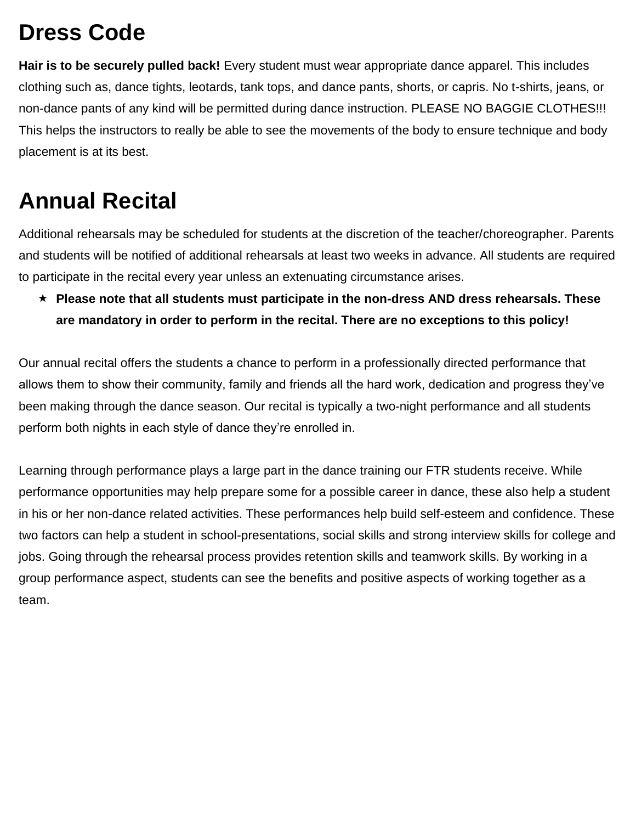## **Dress Code**

**Hair is to be securely pulled back!** Every student must wear appropriate dance apparel. This includes clothing such as, dance tights, leotards, tank tops, and dance pants, shorts, or capris. No t-shirts, jeans, or non-dance pants of any kind will be permitted during dance instruction. PLEASE NO BAGGIE CLOTHES!!! This helps the instructors to really be able to see the movements of the body to ensure technique and body placement is at its best.

## **Annual Recital**

Additional rehearsals may be scheduled for students at the discretion of the teacher/choreographer. Parents and students will be notified of additional rehearsals at least two weeks in advance. All students are required to participate in the recital every year unless an extenuating circumstance arises.

 **Please note that all students must participate in the non-dress AND dress rehearsals. These are mandatory in order to perform in the recital. There are no exceptions to this policy!**

Our annual recital offers the students a chance to perform in a professionally directed performance that allows them to show their community, family and friends all the hard work, dedication and progress they've been making through the dance season. Our recital is typically a two-night performance and all students perform both nights in each style of dance they're enrolled in.

Learning through performance plays a large part in the dance training our FTR students receive. While performance opportunities may help prepare some for a possible career in dance, these also help a student in his or her non-dance related activities. These performances help build self-esteem and confidence. These two factors can help a student in school-presentations, social skills and strong interview skills for college and jobs. Going through the rehearsal process provides retention skills and teamwork skills. By working in a group performance aspect, students can see the benefits and positive aspects of working together as a team.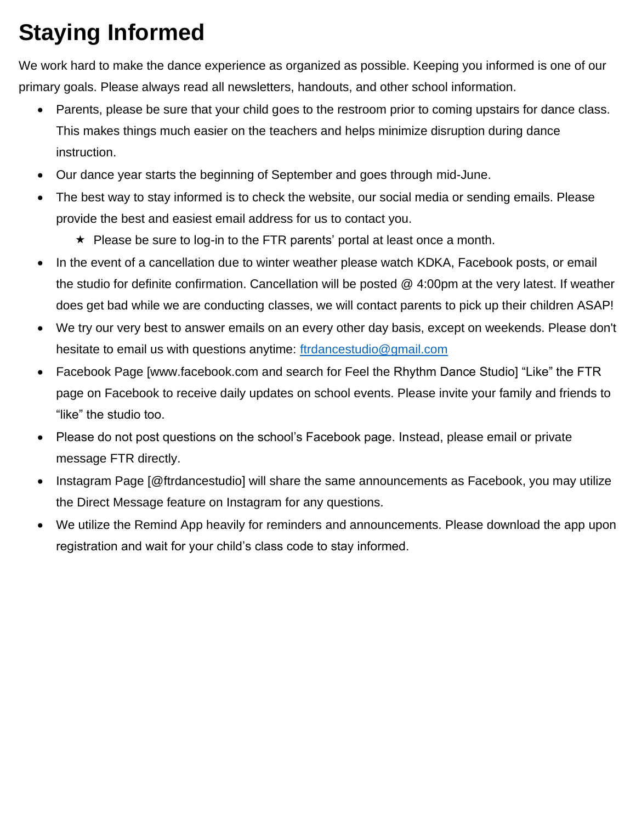# **Staying Informed**

We work hard to make the dance experience as organized as possible. Keeping you informed is one of our primary goals. Please always read all newsletters, handouts, and other school information.

- Parents, please be sure that your child goes to the restroom prior to coming upstairs for dance class. This makes things much easier on the teachers and helps minimize disruption during dance instruction.
- Our dance year starts the beginning of September and goes through mid-June.
- The best way to stay informed is to check the website, our social media or sending emails. Please provide the best and easiest email address for us to contact you.
	- $\star$  Please be sure to log-in to the FTR parents' portal at least once a month.
- In the event of a cancellation due to winter weather please watch KDKA, Facebook posts, or email the studio for definite confirmation. Cancellation will be posted @ 4:00pm at the very latest. If weather does get bad while we are conducting classes, we will contact parents to pick up their children ASAP!
- We try our very best to answer emails on an every other day basis, except on weekends. Please don't hesitate to email us with questions anytime: [ftrdancestudio@gmail.com](mailto:ftrdancestudio@gmail.com)
- Facebook Page [www.facebook.com and search for Feel the Rhythm Dance Studio] "Like" the FTR page on Facebook to receive daily updates on school events. Please invite your family and friends to "like" the studio too.
- Please do not post questions on the school's Facebook page. Instead, please email or private message FTR directly.
- Instagram Page [@ftrdancestudio] will share the same announcements as Facebook, you may utilize the Direct Message feature on Instagram for any questions.
- We utilize the Remind App heavily for reminders and announcements. Please download the app upon registration and wait for your child's class code to stay informed.